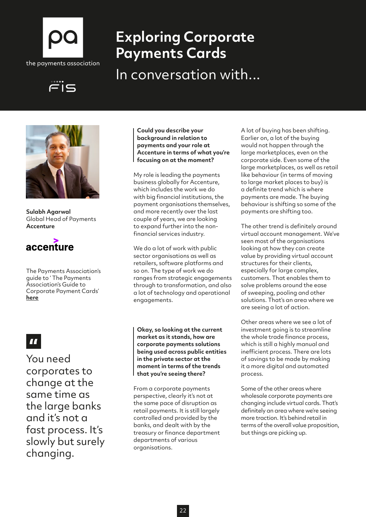

# **Exploring Corporate Payments Cards**

In conversation with...





**Sulabh Agarwal** Global Head of Payments **Accenture**



The Payments Association's guide to ' The Payments Association's Guide to Corporate Payment Cards' **[here](http://here)**

## $\mathbf{H}$

You need corporates to change at the same time as the large banks and it's not a fast process. It's slowly but surely changing.

**Could you describe your background in relation to payments and your role at Accenture in terms of what you're focusing on at the moment?**

My role is leading the payments business globally for Accenture, which includes the work we do with big financial institutions, the payment organisations themselves, and more recently over the last couple of years, we are looking to expand further into the nonfinancial services industry.

We do a lot of work with public sector organisations as well as retailers, software platforms and so on. The type of work we do ranges from strategic engagements through to transformation, and also a lot of technology and operational engagements.

**Okay, so looking at the current market as it stands, how are corporate payments solutions being used across public entities in the private sector at the moment in terms of the trends that you're seeing there?**

From a corporate payments perspective, clearly it's not at the same pace of disruption as retail payments. It is still largely controlled and provided by the banks, and dealt with by the treasury or finance department departments of various organisations.

A lot of buying has been shifting. Earlier on, a lot of the buying would not happen through the large marketplaces, even on the corporate side. Even some of the large marketplaces, as well as retail like behaviour (in terms of moving to large market places to buy) is a definite trend which is where payments are made. The buying behaviour is shifting so some of the payments are shifting too.

The other trend is definitely around virtual account management. We've seen most of the organisations looking at how they can create value by providing virtual account structures for their clients, especially for large complex, customers. That enables them to solve problems around the ease of sweeping, pooling and other solutions. That's an area where we are seeing a lot of action.

Other areas where we see a lot of investment going is to streamline the whole trade finance process, which is still a highly manual and inefficient process. There are lots of savings to be made by making it a more digital and automated process.

Some of the other areas where wholesale corporate payments are changing include virtual cards. That's definitely an area where we're seeing more traction. It's behind retail in terms of the overall value proposition, but things are picking up.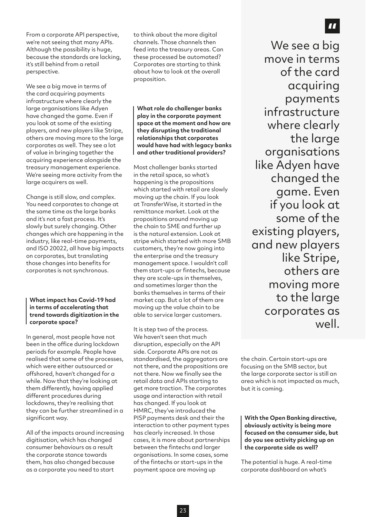From a corporate API perspective, we're not seeing that many APIs. Although the possibility is huge, because the standards are lacking, it's still behind from a retail perspective.

We see a big move in terms of the card acquiring payments infrastructure where clearly the large organisations like Adyen have changed the game. Even if you look at some of the existing players, and new players like Stripe, others are moving more to the large corporates as well. They see a lot of value in bringing together the acquiring experience alongside the treasury management experience. We're seeing more activity from the large acquirers as well.

Change is still slow, and complex. You need corporates to change at the same time as the large banks and it's not a fast process. It's slowly but surely changing. Other changes which are happening in the industry, like real-time payments, and ISO 20022, all have big impacts on corporates, but translating those changes into benefits for corporates is not synchronous.

**What impact has Covid-19 had in terms of accelerating that trend towards digitization in the corporate space?**

In general, most people have not been in the office during lockdown periods for example. People have realised that some of the processes, which were either outsourced or offshored, haven't changed for a while. Now that they're looking at them differently, having applied different procedures during lockdowns, they're realising that they can be further streamlined in a significant way.

All of the impacts around increasing digitisation, which has changed consumer behaviours as a result the corporate stance towards them, has also changed because as a corporate you need to start

to think about the more digital channels. Those channels then feed into the treasury areas. Can these processed be automated? Corporates are starting to think about how to look at the overall proposition.

**What role do challenger banks play in the corporate payment space at the moment and how are they disrupting the traditional relationships that corporates would have had with legacy banks and other traditional providers?**

Most challenger banks started in the retail space, so what's happening is the propositions which started with retail are slowly moving up the chain. If you look at TransferWise, it started in the remittance market. Look at the propositions around moving up the chain to SME and further up is the natural extension. Look at stripe which started with more SMB customers, they're now going into the enterprise and the treasury management space. I wouldn't call them start-ups or fintechs, because they are scale-ups in themselves, and sometimes larger than the banks themselves in terms of their market cap. But a lot of them are moving up the value chain to be able to service larger customers.

It is step two of the process. We haven't seen that much disruption, especially on the API side. Corporate APIs are not as standardised, the aggregators are not there, and the propositions are not there. Now we finally see the retail data and APIs starting to get more traction. The corporates usage and interaction with retail has changed. If you look at HMRC, they've introduced the PISP payments desk and their the interaction to other payment types has clearly increased. In those cases, it is more about partnerships between the fintechs and larger organisations. In some cases, some of the fintechs or start-ups in the payment space are moving up

We see a big move in terms of the card acquiring payments infrastructure where clearly the large organisations like Adyen have changed the game. Even if you look at some of the existing players, and new players like Stripe, others are moving more to the large corporates as well.

the chain. Certain start-ups are focusing on the SMB sector, but the large corporate sector is still an area which is not impacted as much, but it is coming.

**With the Open Banking directive, obviously activity is being more focused on the consumer side, but do you see activity picking up on the corporate side as well?**

The potential is huge. A real-time corporate dashboard on what's